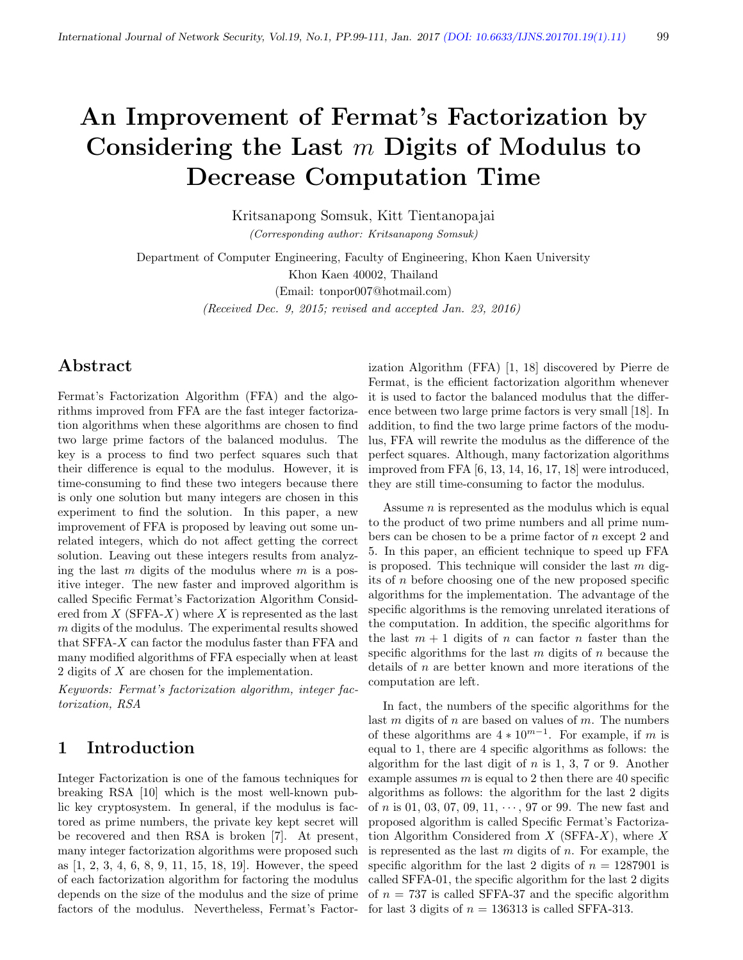# An Improvement of Fermat's Factorization by Considering the Last  $m$  Digits of Modulus to Decrease Computation Time

Kritsanapong Somsuk, Kitt Tientanopajai (Corresponding author: Kritsanapong Somsuk)

Department of Computer Engineering, Faculty of Engineering, Khon Kaen University Khon Kaen 40002, Thailand (Email: tonpor007@hotmail.com) (Received Dec. 9, 2015; revised and accepted Jan. 23, 2016)

## Abstract

Fermat's Factorization Algorithm (FFA) and the algorithms improved from FFA are the fast integer factorization algorithms when these algorithms are chosen to find two large prime factors of the balanced modulus. The key is a process to find two perfect squares such that their difference is equal to the modulus. However, it is time-consuming to find these two integers because there is only one solution but many integers are chosen in this experiment to find the solution. In this paper, a new improvement of FFA is proposed by leaving out some unrelated integers, which do not affect getting the correct solution. Leaving out these integers results from analyzing the last  $m$  digits of the modulus where  $m$  is a positive integer. The new faster and improved algorithm is called Specific Fermat's Factorization Algorithm Considered from  $X$  (SFFA-X) where X is represented as the last m digits of the modulus. The experimental results showed that SFFA-X can factor the modulus faster than FFA and many modified algorithms of FFA especially when at least 2 digits of X are chosen for the implementation.

Keywords: Fermat's factorization algorithm, integer factorization, RSA

## 1 Introduction

Integer Factorization is one of the famous techniques for breaking RSA [10] which is the most well-known public key cryptosystem. In general, if the modulus is factored as prime numbers, the private key kept secret will be recovered and then RSA is broken [7]. At present, many integer factorization algorithms were proposed such as [1, 2, 3, 4, 6, 8, 9, 11, 15, 18, 19]. However, the speed of each factorization algorithm for factoring the modulus depends on the size of the modulus and the size of prime factors of the modulus. Nevertheless, Fermat's Factor-

ization Algorithm (FFA) [1, 18] discovered by Pierre de Fermat, is the efficient factorization algorithm whenever it is used to factor the balanced modulus that the difference between two large prime factors is very small [18]. In addition, to find the two large prime factors of the modulus, FFA will rewrite the modulus as the difference of the perfect squares. Although, many factorization algorithms improved from FFA [6, 13, 14, 16, 17, 18] were introduced, they are still time-consuming to factor the modulus.

Assume *n* is represented as the modulus which is equal to the product of two prime numbers and all prime numbers can be chosen to be a prime factor of n except 2 and 5. In this paper, an efficient technique to speed up FFA is proposed. This technique will consider the last  $m$  digits of n before choosing one of the new proposed specific algorithms for the implementation. The advantage of the specific algorithms is the removing unrelated iterations of the computation. In addition, the specific algorithms for the last  $m + 1$  digits of n can factor n faster than the specific algorithms for the last  $m$  digits of  $n$  because the details of  $n$  are better known and more iterations of the computation are left.

In fact, the numbers of the specific algorithms for the last  $m$  digits of  $n$  are based on values of  $m$ . The numbers of these algorithms are  $4 * 10^{m-1}$ . For example, if m is equal to 1, there are 4 specific algorithms as follows: the algorithm for the last digit of  $n$  is 1, 3, 7 or 9. Another example assumes  $m$  is equal to 2 then there are 40 specific algorithms as follows: the algorithm for the last 2 digits of *n* is 01, 03, 07, 09, 11,  $\cdots$ , 97 or 99. The new fast and proposed algorithm is called Specific Fermat's Factorization Algorithm Considered from  $X$  (SFFA-X), where X is represented as the last  $m$  digits of  $n$ . For example, the specific algorithm for the last 2 digits of  $n = 1287901$  is called SFFA-01, the specific algorithm for the last 2 digits of  $n = 737$  is called SFFA-37 and the specific algorithm for last 3 digits of  $n = 136313$  is called SFFA-313.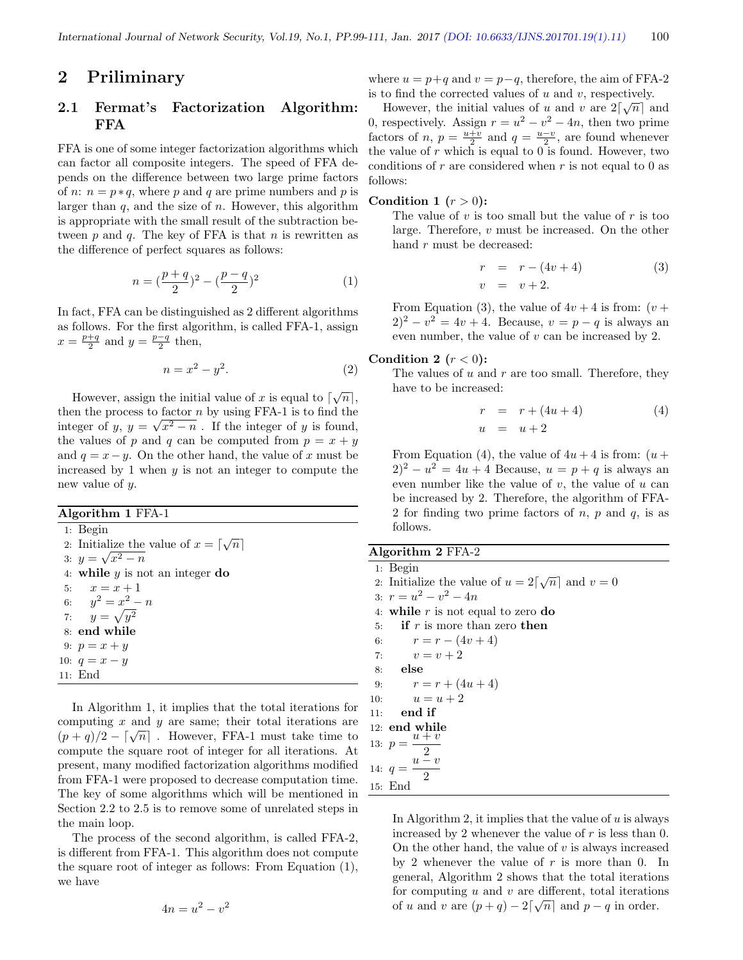### 2 Priliminary

### 2.1 Fermat's Factorization Algorithm: FFA

FFA is one of some integer factorization algorithms which can factor all composite integers. The speed of FFA depends on the difference between two large prime factors of *n*:  $n = p * q$ , where p and q are prime numbers and p is larger than  $q$ , and the size of  $n$ . However, this algorithm is appropriate with the small result of the subtraction between p and q. The key of FFA is that n is rewritten as the difference of perfect squares as follows:

$$
n = \left(\frac{p+q}{2}\right)^2 - \left(\frac{p-q}{2}\right)^2\tag{1}
$$

In fact, FFA can be distinguished as 2 different algorithms as follows. For the first algorithm, is called FFA-1, assign  $x = \frac{p+q}{2}$  and  $y = \frac{p-q}{2}$  then,

$$
n = x^2 - y^2. \tag{2}
$$

However, assign the initial value of x is equal to  $\lceil \sqrt{n} \rceil$ , then the process to factor *n* by using FFA-1 is to find the integer of y,  $y = \sqrt{x^2 - n}$ . If the integer of y is found, the values of p and q can be computed from  $p = x + y$ and  $q = x - y$ . On the other hand, the value of x must be increased by 1 when  $y$  is not an integer to compute the new value of y.

#### Algorithm 1 FFA-1

1: Begin 2: Initialize the value of  $x = \lceil \sqrt{n} \rceil$ 3:  $y = \sqrt{x^2 - n}$ 4: while  $y$  is not an integer do 5:  $x = x + 1$ 6:  $y^2 = x^2 - n$ 7:  $y = \sqrt{y^2}$ 8: end while 9:  $p = x + y$ 10:  $q = x - y$ 11: End

In Algorithm 1, it implies that the total iterations for computing  $x$  and  $y$  are same; their total iterations are computing x and y are same, then total herations are  $(p+q)/2 - \lceil \sqrt{n} \rceil$ . However, FFA-1 must take time to compute the square root of integer for all iterations. At present, many modified factorization algorithms modified from FFA-1 were proposed to decrease computation time. The key of some algorithms which will be mentioned in Section 2.2 to 2.5 is to remove some of unrelated steps in the main loop.

The process of the second algorithm, is called FFA-2, is different from FFA-1. This algorithm does not compute the square root of integer as follows: From Equation (1), we have

$$
4n = u^2 - v^2
$$

where  $u = p+q$  and  $v = p-q$ , therefore, the aim of FFA-2 is to find the corrected values of  $u$  and  $v$ , respectively.

However, the initial values of u and v are  $2\lceil\sqrt{n}\rceil$  and 0, respectively. Assign  $r = u^2 - v^2 - 4n$ , then two prime factors of *n*,  $p = \frac{u+v}{2}$  and  $q = \frac{u-v}{2}$ , are found whenever the value of  $r$  which is equal to 0 is found. However, two conditions of  $r$  are considered when  $r$  is not equal to 0 as follows:

### Condition 1  $(r > 0)$ :

The value of  $v$  is too small but the value of  $r$  is too large. Therefore, v must be increased. On the other hand r must be decreased:

$$
r = r - (4v + 4)
$$
  
\n
$$
v = v + 2.
$$
\n(3)

From Equation (3), the value of  $4v + 4$  is from:  $(v +$  $(2)^2 - v^2 = 4v + 4$ . Because,  $v = p - q$  is always an even number, the value of  $v$  can be increased by 2.

#### Condition 2  $(r < 0)$ :

The values of  $u$  and  $r$  are too small. Therefore, they have to be increased:

$$
r = r + (4u + 4)
$$
  
\n
$$
u = u + 2
$$
\n(4)

From Equation (4), the value of  $4u + 4$  is from:  $(u +$  $(2)^2 - u^2 = 4u + 4$  Because,  $u = p + q$  is always an even number like the value of  $v$ , the value of  $u$  can be increased by 2. Therefore, the algorithm of FFA-2 for finding two prime factors of  $n, p$  and  $q$ , is as follows.

### Algorithm 2 FFA-2

1: Begin 1: Begin<br>2: Initialize the value of  $u = 2\lceil \sqrt{n} \rceil$  and  $v = 0$ 3:  $r = u^2 - v^2 - 4n$ 4: while  $r$  is not equal to zero do 5: if  $r$  is more than zero then 6:  $r = r - (4v + 4)$ 7:  $v = v + 2$ 8: else 9:  $r = r + (4u + 4)$ 10:  $u = u + 2$ 11: end if 12: end while 13:  $p =$  $u + v$  $u^2$ 14:  $q =$  $\overline{2}$ 15: End

In Algorithm 2, it implies that the value of  $u$  is always increased by 2 whenever the value of  $r$  is less than 0. On the other hand, the value of  $v$  is always increased by 2 whenever the value of  $r$  is more than 0. In general, Algorithm 2 shows that the total iterations for computing u and v are different, total iterations of u and v are  $(p+q) - 2\lceil \sqrt{n} \rceil$  and  $p-q$  in order.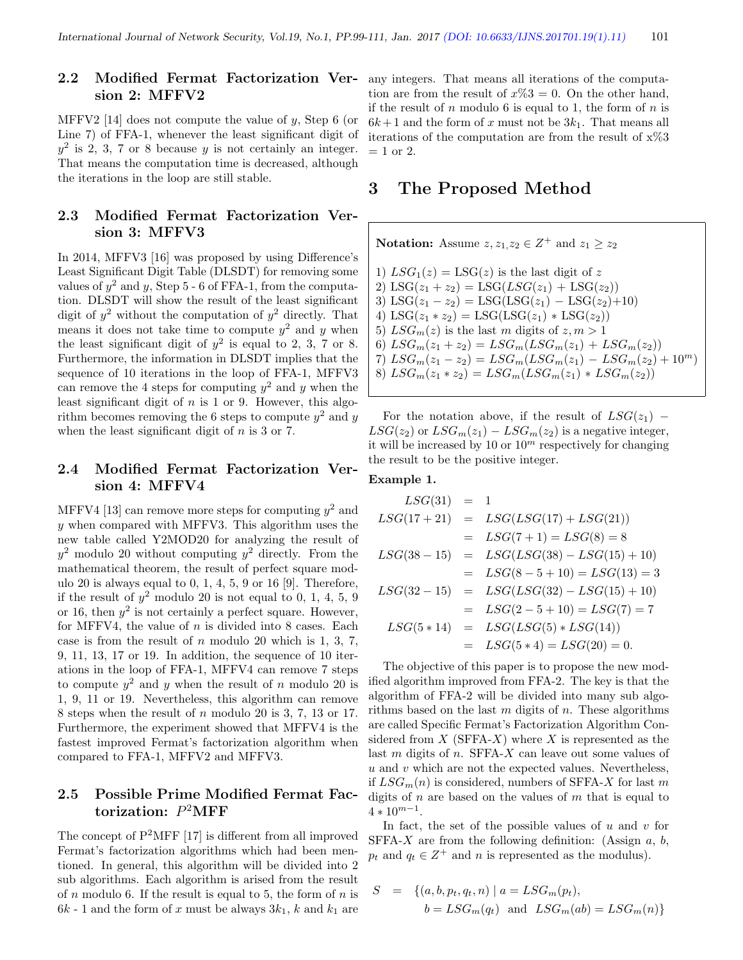### 2.2 Modified Fermat Factorization Version 2: MFFV2

MFFV2 [14] does not compute the value of  $y$ , Step 6 (or Line 7) of FFA-1, whenever the least significant digit of  $y^2$  is 2, 3, 7 or 8 because y is not certainly an integer. That means the computation time is decreased, although the iterations in the loop are still stable.

### 2.3 Modified Fermat Factorization Version 3: MFFV3

In 2014, MFFV3 [16] was proposed by using Difference's Least Significant Digit Table (DLSDT) for removing some values of  $y^2$  and y, Step 5 - 6 of FFA-1, from the computation. DLSDT will show the result of the least significant digit of  $y^2$  without the computation of  $y^2$  directly. That means it does not take time to compute  $y^2$  and y when the least significant digit of  $y^2$  is equal to 2, 3, 7 or 8. Furthermore, the information in DLSDT implies that the sequence of 10 iterations in the loop of FFA-1, MFFV3 can remove the 4 steps for computing  $y^2$  and y when the least significant digit of  $n$  is 1 or 9. However, this algorithm becomes removing the 6 steps to compute  $y^2$  and y when the least significant digit of  $n$  is 3 or 7.

### 2.4 Modified Fermat Factorization Version 4: MFFV4

MFFV4 [13] can remove more steps for computing  $y^2$  and y when compared with MFFV3. This algorithm uses the new table called Y2MOD20 for analyzing the result of  $y^2$  modulo 20 without computing  $y^2$  directly. From the mathematical theorem, the result of perfect square modulo 20 is always equal to  $0, 1, 4, 5, 9$  or  $16$  [9]. Therefore, if the result of  $y^2$  modulo 20 is not equal to 0, 1, 4, 5, 9 or 16, then  $y^2$  is not certainly a perfect square. However, for MFFV4, the value of  $n$  is divided into 8 cases. Each case is from the result of  $n$  modulo 20 which is 1, 3, 7, 9, 11, 13, 17 or 19. In addition, the sequence of 10 iterations in the loop of FFA-1, MFFV4 can remove 7 steps to compute  $y^2$  and y when the result of n modulo 20 is 1, 9, 11 or 19. Nevertheless, this algorithm can remove 8 steps when the result of n modulo 20 is 3, 7, 13 or 17. Furthermore, the experiment showed that MFFV4 is the fastest improved Fermat's factorization algorithm when compared to FFA-1, MFFV2 and MFFV3.

### 2.5 Possible Prime Modified Fermat Factorization:  $P^2$ MFF

The concept of P<sup>2</sup>MFF [17] is different from all improved Fermat's factorization algorithms which had been mentioned. In general, this algorithm will be divided into 2 sub algorithms. Each algorithm is arised from the result of n modulo 6. If the result is equal to 5, the form of  $n$  is  $6k - 1$  and the form of x must be always  $3k_1$ , k and  $k_1$  are

any integers. That means all iterations of the computation are from the result of  $x\%3 = 0$ . On the other hand, if the result of  $n$  modulo 6 is equal to 1, the form of  $n$  is  $6k+1$  and the form of x must not be  $3k<sub>1</sub>$ . That means all iterations of the computation are from the result of x%3  $= 1$  or 2.

### 3 The Proposed Method

**Notation:** Assume  $z, z_1, z_2 \in Z^+$  and  $z_1 \geq z_2$ 1)  $LSG_1(z) = LSG(z)$  is the last digit of z 2) LSG( $z_1 + z_2$ ) = LSG( $LSG(z_1)$  + LSG( $z_2$ )) 3) LSG( $z_1 - z_2$ ) = LSG(LSG( $z_1$ ) – LSG( $z_2$ )+10) 4) LSG( $z_1 * z_2$ ) = LSG(LSG( $z_1$ )  $*$  LSG( $z_2$ )) 5)  $LSG_m(z)$  is the last m digits of  $z, m > 1$ 6)  $LSG_m(z_1 + z_2) = LSG_m(LSG_m(z_1) + LSG_m(z_2))$ 7)  $LSG_m(z_1 - z_2) = LSG_m(LSG_m(z_1) - LSG_m(z_2) + 10^m)$ 8)  $LSG_m(z_1 * z_2) = LSG_m(LSG_m(z_1) * LSG_m(z_2))$ 

For the notation above, if the result of  $LSG(z_1)$  –  $LSG(z_2)$  or  $LSG_m(z_1) - LSG_m(z_2)$  is a negative integer, it will be increased by 10 or  $10<sup>m</sup>$  respectively for changing the result to be the positive integer.

### Example 1.

$$
LSG(31) = 1
$$
  
\n
$$
LSG(17 + 21) = LSG(LSG(17) + LSG(21))
$$
  
\n
$$
= LSG(7 + 1) = LSG(8) = 8
$$
  
\n
$$
LSG(38 - 15) = LSG(LSG(38) - LSG(15) + 10)
$$
  
\n
$$
= LSG(8 - 5 + 10) = LSG(13) = 3
$$
  
\n
$$
LSG(32 - 15) = LSG(LSG(32) - LSG(15) + 10)
$$
  
\n
$$
= LSG(2 - 5 + 10) = LSG(7) = 7
$$
  
\n
$$
LSG(5 * 14) = LSG(LSG(5) * LSG(14))
$$
  
\n
$$
= LSG(5 * 4) = LSG(20) = 0.
$$

The objective of this paper is to propose the new modified algorithm improved from FFA-2. The key is that the algorithm of FFA-2 will be divided into many sub algorithms based on the last  $m$  digits of  $n$ . These algorithms are called Specific Fermat's Factorization Algorithm Considered from  $X$  (SFFA- $X$ ) where  $X$  is represented as the last  $m$  digits of  $n$ . SFFA- $X$  can leave out some values of  $u$  and  $v$  which are not the expected values. Nevertheless, if  $LSG_m(n)$  is considered, numbers of SFFA-X for last m digits of  $n$  are based on the values of  $m$  that is equal to  $4 * 10^{m-1}.$ 

In fact, the set of the possible values of  $u$  and  $v$  for SFFA- $X$  are from the following definition: (Assign  $a, b$ ,  $p_t$  and  $q_t \in \mathbb{Z}^+$  and n is represented as the modulus).

$$
S = \{(a, b, p_t, q_t, n) | a = LSG_m(p_t),
$$
  

$$
b = LSG_m(q_t) \text{ and } LSG_m(ab) = LSG_m(n)\}
$$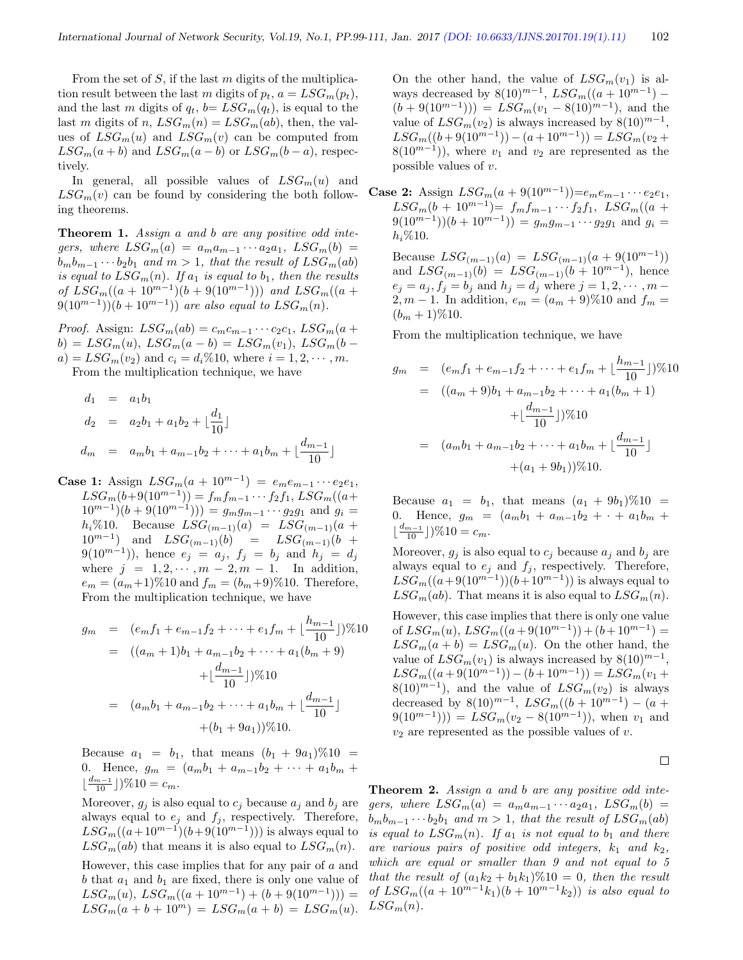From the set of  $S$ , if the last  $m$  digits of the multiplication result between the last m digits of  $p_t$ ,  $a = LSG_m(p_t)$ , and the last m digits of  $q_t$ ,  $b = LSG_m(q_t)$ , is equal to the last m digits of n,  $LSG_m(n) = LSG_m(ab)$ , then, the values of  $LSG_m(u)$  and  $LSG_m(v)$  can be computed from  $LSG_m(a + b)$  and  $LSG_m(a - b)$  or  $LSG_m(b - a)$ , respectively.

In general, all possible values of  $LSG_m(u)$  and  $LSG_m(v)$  can be found by considering the both following theorems.

Theorem 1. Assign a and b are any positive odd integers, where  $LSG_m(a) = a_m a_{m-1} \cdots a_2 a_1$ ,  $LSG_m(b) =$  $b_m b_{m-1} \cdots b_2 b_1$  and  $m > 1$ , that the result of  $LSG_m(ab)$ is equal to  $LSG_m(n)$ . If  $a_1$  is equal to  $b_1$ , then the results of  $LSG_m((a+10^{m-1})(b+9(10^{m-1})))$  and  $LSG_m((a+10^{m-1})$  $(9(10^{m-1}))(b+10^{m-1}))$  are also equal to  $LSG_m(n)$ .

*Proof.* Assign:  $LSG_m(ab) = c_m c_{m-1} \cdots c_2 c_1$ ,  $LSG_m(a +$  $b) = LSG_m(u), \, LSG_m(a - b) = LSG_m(v_1), \, LSG_m(b - b))$  $a) = LSG_m(v_2)$  and  $c_i = d_i \% 10$ , where  $i = 1, 2, \dots, m$ .

From the multiplication technique, we have

$$
d_1 = a_1b_1
$$
  
\n
$$
d_2 = a_2b_1 + a_1b_2 + \lfloor \frac{d_1}{10} \rfloor
$$
  
\n
$$
d_m = a_mb_1 + a_{m-1}b_2 + \dots + a_1b_m + \lfloor \frac{d_{m-1}}{10} \rfloor
$$

Case 1: Assign  $LSG_m(a + 10^{m-1}) = e_m e_{m-1} \cdots e_2 e_1$ ,  $LSG_m(b+9(10^{m-1})) = f_m f_{m-1} \cdots f_2 f_1, LSG_m((a+$  $10^{m-1}$  $(b + 9(10^{m-1})) = g_m g_{m-1} \cdots g_2 g_1$  and  $g_i =$  $h_i\%10.$  Because  $LSG_{(m-1)}(a) = LSG_{(m-1)}(a +$  $10^{m-1}$ ) and  $LSG_{(m-1)}(b) = LSG_{(m-1)}(b +$  $9(10^{m-1})$ ), hence  $e_j = a_j$ ,  $f_j = b_j$  and  $h_j = d_j$ where  $j = 1, 2, \dots, m - 2, m - 1$ . In addition,  $e_m = (a_m+1)\%10$  and  $f_m = (b_m+9)\%10$ . Therefore, From the multiplication technique, we have

$$
g_m = (e_m f_1 + e_{m-1} f_2 + \dots + e_1 f_m + \lfloor \frac{h_{m-1}}{10} \rfloor) \% 10
$$
  
=  $((a_m + 1)b_1 + a_{m-1} b_2 + \dots + a_1 (b_m + 9)$   
+  $\lfloor \frac{d_{m-1}}{10} \rfloor) \% 10$   
=  $(a_m b_1 + a_{m-1} b_2 + \dots + a_1 b_m + \lfloor \frac{d_{m-1}}{10} \rfloor + (b_1 + 9a_1)) \% 10.$ 

Because  $a_1 = b_1$ , that means  $(b_1 + 9a_1)\%10 =$ 0. Hence,  $g_m = (a_m b_1 + a_{m-1} b_2 + \cdots + a_1 b_m + a_m b_m)$  $\lfloor \frac{d_{m-1}}{10} \rfloor$ )%10 =  $c_m$ .

Moreover,  $g_j$  is also equal to  $c_j$  because  $a_j$  and  $b_j$  are always equal to  $e_j$  and  $f_j$ , respectively. Therefore,  $LSG_m((a+10^{m-1})(b+9(10^{m-1})))$  is always equal to  $LSG_m(ab)$  that means it is also equal to  $LSG_m(n)$ .

However, this case implies that for any pair of  $a$  and b that  $a_1$  and  $b_1$  are fixed, there is only one value of  $LSG_m(u)$ ,  $LSG_m((a+10^{m-1})+(b+9(10^{m-1})))$  =  $LSG_m(a + b + 10^m) = LSG_m(a + b) = LSG_m(u).$ 

On the other hand, the value of  $LSG_m(v_1)$  is always decreased by  $8(10)^{m-1}$ ,  $LSG_m((a + 10^{m-1}) (b+9(10^{m-1}))) = LSG_m(v_1 - 8(10)^{m-1}),$  and the value of  $LSG_m(v_2)$  is always increased by  $8(10)^{m-1}$ ,  $LSG_m((b+9(10^{m-1})) - (a+10^{m-1})) = LSG_m(v_2 +$  $8(10^{m-1})$ , where  $v_1$  and  $v_2$  are represented as the possible values of v.

Case 2: Assign  $LSG_m(a + 9(10^{m-1})) = e_m e_{m-1} \cdots e_2 e_1$ ,  $LSG_m(b + 10^{m-1}) = f_m f_{m-1} \cdots f_2 f_1$ ,  $LSG_m((a +$  $(9(10^{m-1}))(b+10^{m-1})) = g_m g_{m-1} \cdots g_2 g_1$  and  $g_i =$  $h_i\%10.$ 

Because  $LSG_{(m-1)}(a) = LSG_{(m-1)}(a + 9(10^{m-1}))$ and  $LSG_{(m-1)}(b) = LSG_{(m-1)}(b + 10^{m-1}),$  hence  $e_j = a_j, f_j = b_j$  and  $h_j = d_j$  where  $j = 1, 2, \dots, m$ 2, m – 1. In addition,  $e_m = (a_m + 9) \% 10$  and  $f_m =$  $(b_m + 1)\%10$ .

From the multiplication technique, we have

$$
g_m = (e_m f_1 + e_{m-1} f_2 + \dots + e_1 f_m + \lfloor \frac{h_{m-1}}{10} \rfloor) \% 10
$$
  
=  $((a_m + 9)b_1 + a_{m-1} b_2 + \dots + a_1 (b_m + 1)$   
+  $\lfloor \frac{d_{m-1}}{10} \rfloor) \% 10$   
=  $(a_m b_1 + a_{m-1} b_2 + \dots + a_1 b_m + \lfloor \frac{d_{m-1}}{10} \rfloor + (a_1 + 9b_1)) \% 10.$ 

Because  $a_1 = b_1$ , that means  $(a_1 + 9b_1)\%10 =$ 0. Hence,  $g_m = (a_m b_1 + a_{m-1} b_2 + \cdots + a_1 b_m + a_m b_m)$  $\lfloor \frac{d_{m-1}}{10} \rfloor$ )%10 =  $c_m$ .

Moreover,  $g_i$  is also equal to  $c_i$  because  $a_i$  and  $b_i$  are always equal to  $e_j$  and  $f_j$ , respectively. Therefore,  $LSG_m((a+9(10^{m-1}))(b+10^{m-1}))$  is always equal to  $LSG_m(ab)$ . That means it is also equal to  $LSG_m(n)$ .

However, this case implies that there is only one value of  $LSG_m(u)$ ,  $LSG_m((a+9(10^{m-1}))+(b+10^{m-1})=$  $LSG_m(a + b) = LSG_m(u)$ . On the other hand, the value of  $LSG_m(v_1)$  is always increased by  $8(10)^{m-1}$ ,  $LSG_m((a+9(10^{m-1})) - (b+10^{m-1})) = LSG_m(v_1 +$  $8(10)^{m-1}$ , and the value of  $LSG_m(v_2)$  is always decreased by  $8(10)^{m-1}$ ,  $LSG_m((b + 10^{m-1}) - (a +$  $9(10^{m-1})) = LSG_m(v_2 - 8(10^{m-1}))$ , when  $v_1$  and  $v_2$  are represented as the possible values of v.

 $\Box$ 

**Theorem 2.** Assign a and b are any positive odd integers, where  $LSG_m(a) = a_m a_{m-1} \cdots a_2 a_1$ ,  $LSG_m(b) =$  $b_m b_{m-1} \cdots b_2 b_1$  and  $m > 1$ , that the result of  $LSG_m(ab)$ is equal to  $LSG_m(n)$ . If  $a_1$  is not equal to  $b_1$  and there are various pairs of positive odd integers,  $k_1$  and  $k_2$ , which are equal or smaller than 9 and not equal to 5 that the result of  $(a_1k_2 + b_1k_1)\%$  10 = 0, then the result of  $LSG_m((a + 10^{m-1}k_1)(b + 10^{m-1}k_2))$  is also equal to  $LSG_m(n)$ .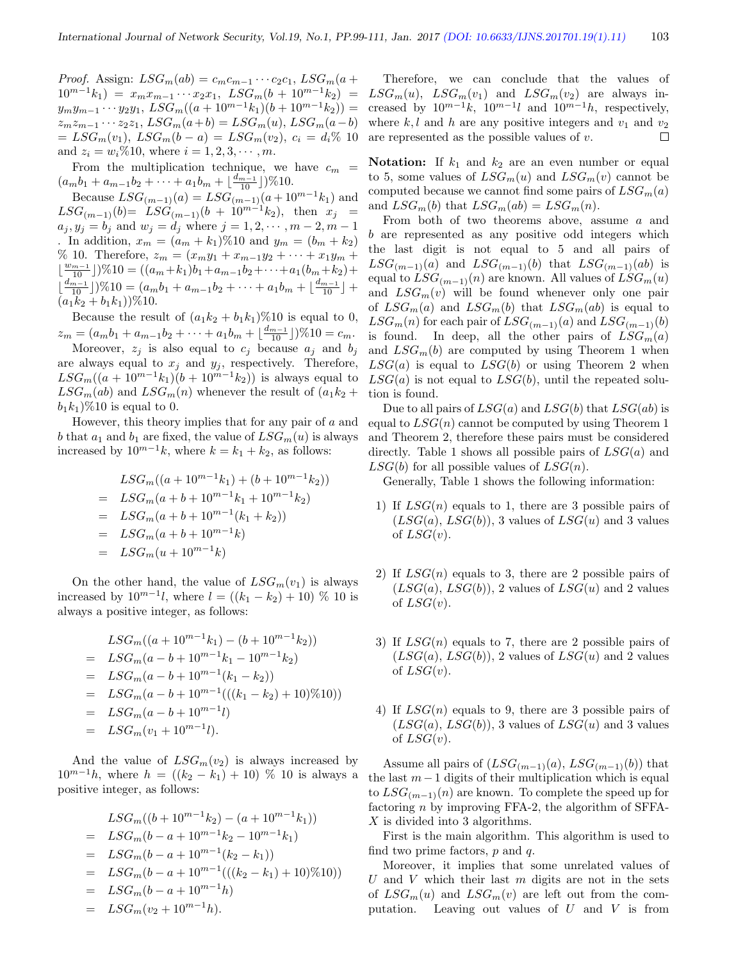*Proof.* Assign:  $LSG_m(ab) = c_m c_{m-1} \cdots c_2 c_1$ ,  $LSG_m(a +$  $10^{m-1}k_1$  =  $x_mx_{m-1}\cdots x_2x_1$ ,  $LSG_m(b+10^{m-1}k_2)$  =  $y_my_{m-1} \cdots y_2y_1, \text{LSG}_m((a+10^{m-1}k_1)(b+10^{m-1}k_2)) =$  $z_m z_{m-1} \cdots z_2 z_1$ ,  $LSG_m(a+b) = LSG_m(u)$ ,  $LSG_m(a-b)$  $= LSG_m(v_1), LSG_m(b-a) = LSG_m(v_2), c_i = d_i\%$  10 and  $z_i = w_i \% 10$ , where  $i = 1, 2, 3, \dots, m$ .

From the multiplication technique, we have  $c_m$  =  $(a_m b_1 + a_{m-1} b_2 + \cdots + a_1 b_m + \lfloor \frac{d_{m-1}}{10} \rfloor) \% 10.$ 

Because  $LSG_{(m-1)}(a) = LSG_{(m-1)}(a+10^{m-1}k_1)$  and  $LSG_{(m-1)}(b) = \overline{LSG}_{(m-1)}(b) + 10^{m-1}k_2$ , then  $x_j =$  $a_j, y_j = b_j$  and  $w_j = d_j$  where  $j = 1, 2, \dots, m-2, m-1$ . In addition,  $x_m = (a_m + k_1) \% 10$  and  $y_m = (b_m + k_2)$ % 10. Therefore,  $z_m = (x_m y_1 + x_{m-1} y_2 + \cdots + x_1 y_m + x_m y_m)$  $\lfloor \frac{w_{m-1}}{10} \rfloor$ )%10 =  $((a_m + k_1)b_1 + a_{m-1}b_2 + \cdots + a_1(b_m + k_2) +$  $\overline{\phantom{a}}$  $\frac{d_{m-1}}{10}]$ )%10 =  $(a_m b_1 + a_{m-1} b_2 + \cdots + a_1 b_m + \lfloor \frac{d_{m-1}}{10} \rfloor +$  $(a_1k_2 + b_1k_1)$ %10.

Because the result of  $(a_1k_2 + b_1k_1)\%$  is equal to 0,  $z_m = (a_m b_1 + a_{m-1} b_2 + \dots + a_1 b_m + \lfloor \frac{d_{m-1}}{10} \rfloor) \% 10 = c_m.$ 

Moreover,  $z_j$  is also equal to  $c_j$  because  $a_j$  and  $b_j$ are always equal to  $x_j$  and  $y_j$ , respectively. Therefore,  $LSG_m((a + 10^{m-1}k_1)(b + 10^{m-1}k_2))$  is always equal to  $LSG_m(ab)$  and  $LSG_m(n)$  whenever the result of  $(a_1k_2 +$  $b_1k_1$ )%10 is equal to 0.

However, this theory implies that for any pair of  $a$  and b that  $a_1$  and  $b_1$  are fixed, the value of  $LSG_m(u)$  is always increased by  $10^{m-1}k$ , where  $k = k_1 + k_2$ , as follows:

$$
LSG_m((a + 10^{m-1}k_1) + (b + 10^{m-1}k_2))
$$
  
=  $LSG_m(a + b + 10^{m-1}k_1 + 10^{m-1}k_2)$   
=  $LSG_m(a + b + 10^{m-1}(k_1 + k_2))$   
=  $LSG_m(a + b + 10^{m-1}k)$   
=  $LSG_m(u + 10^{m-1}k)$ 

On the other hand, the value of  $LSG_m(v_1)$  is always increased by  $10^{m-1}l$ , where  $l = ((k_1 - k_2) + 10) \% 10$  is always a positive integer, as follows:

$$
LSG_m((a+10^{m-1}k_1)-(b+10^{m-1}k_2))
$$
  
=  $LSG_m(a-b+10^{m-1}k_1-10^{m-1}k_2)$   
=  $LSG_m(a-b+10^{m-1}(k_1-k_2))$   
=  $LSG_m(a-b+10^{m-1}(((k_1-k_2)+10)\%)10))$   
=  $LSG_m(a-b+10^{m-1}l)$   
=  $LSG_m(v_1+10^{m-1}l)$ .

And the value of  $LSG_m(v_2)$  is always increased by  $10^{m-1}h$ , where  $h = ((k_2 - k_1) + 10)$  % 10 is always a positive integer, as follows:

$$
LSG_m((b+10^{m-1}k_2)-(a+10^{m-1}k_1))
$$
  
=  $LSG_m(b-a+10^{m-1}k_2-10^{m-1}k_1)$   
=  $LSG_m(b-a+10^{m-1}(k_2-k_1))$   
=  $LSG_m(b-a+10^{m-1}(((k_2-k_1)+10)\%)10))$   
=  $LSG_m(b-a+10^{m-1}h)$   
=  $LSG_m(v_2+10^{m-1}h)$ .

Therefore, we can conclude that the values of  $LSG_m(u)$ ,  $LSG_m(v_1)$  and  $LSG_m(v_2)$  are always increased by  $10^{m-1}k$ ,  $10^{m-1}l$  and  $10^{m-1}h$ , respectively, where  $k, l$  and h are any positive integers and  $v_1$  and  $v_2$ are represented as the possible values of v.  $\Box$ 

**Notation:** If  $k_1$  and  $k_2$  are an even number or equal to 5, some values of  $LSG_m(u)$  and  $LSG_m(v)$  cannot be computed because we cannot find some pairs of  $LSG_m(a)$ and  $LSG_m(b)$  that  $LSG_m(ab) = LSG_m(n)$ .

From both of two theorems above, assume a and b are represented as any positive odd integers which the last digit is not equal to 5 and all pairs of  $LSG_{(m-1)}(a)$  and  $LSG_{(m-1)}(b)$  that  $LSG_{(m-1)}(ab)$  is equal to  $LSG_{(m-1)}(n)$  are known. All values of  $LSG_m(u)$ and  $LSG_m(v)$  will be found whenever only one pair of  $LSG_m(a)$  and  $LSG_m(b)$  that  $LSG_m(ab)$  is equal to  $LSG_m(n)$  for each pair of  $LSG_{(m-1)}(a)$  and  $LSG_{(m-1)}(b)$ is found. In deep, all the other pairs of  $LSG_m(a)$ and  $LSG_m(b)$  are computed by using Theorem 1 when  $LSG(a)$  is equal to  $LSG(b)$  or using Theorem 2 when  $LSG(a)$  is not equal to  $LSG(b)$ , until the repeated solution is found.

Due to all pairs of  $LSG(a)$  and  $LSG(b)$  that  $LSG(ab)$  is equal to  $LSG(n)$  cannot be computed by using Theorem 1 and Theorem 2, therefore these pairs must be considered directly. Table 1 shows all possible pairs of  $LSG(a)$  and  $LSG(b)$  for all possible values of  $LSG(n)$ .

Generally, Table 1 shows the following information:

- 1) If  $LSG(n)$  equals to 1, there are 3 possible pairs of  $(LSG(a), LSG(b)),$  3 values of  $LSG(u)$  and 3 values of  $LSG(v)$ .
- 2) If  $LSG(n)$  equals to 3, there are 2 possible pairs of  $(LSG(a), LSG(b)),$  2 values of  $LSG(u)$  and 2 values of  $LSG(v)$ .
- 3) If  $LSG(n)$  equals to 7, there are 2 possible pairs of  $(LSG(a), LSG(b)),$  2 values of  $LSG(u)$  and 2 values of  $LSG(v)$ .
- 4) If  $LSG(n)$  equals to 9, there are 3 possible pairs of  $(LSG(a), LSG(b)),$  3 values of  $LSG(u)$  and 3 values of  $LSG(v)$ .

Assume all pairs of  $(LSG_{(m-1)}(a), LSG_{(m-1)}(b))$  that the last  $m-1$  digits of their multiplication which is equal to  $LSG_{(m-1)}(n)$  are known. To complete the speed up for factoring n by improving FFA-2, the algorithm of SFFA-X is divided into 3 algorithms.

First is the main algorithm. This algorithm is used to find two prime factors,  $p$  and  $q$ .

Moreover, it implies that some unrelated values of U and V which their last  $m$  digits are not in the sets of  $LSG_m(u)$  and  $LSG_m(v)$  are left out from the computation. Leaving out values of  $U$  and  $V$  is from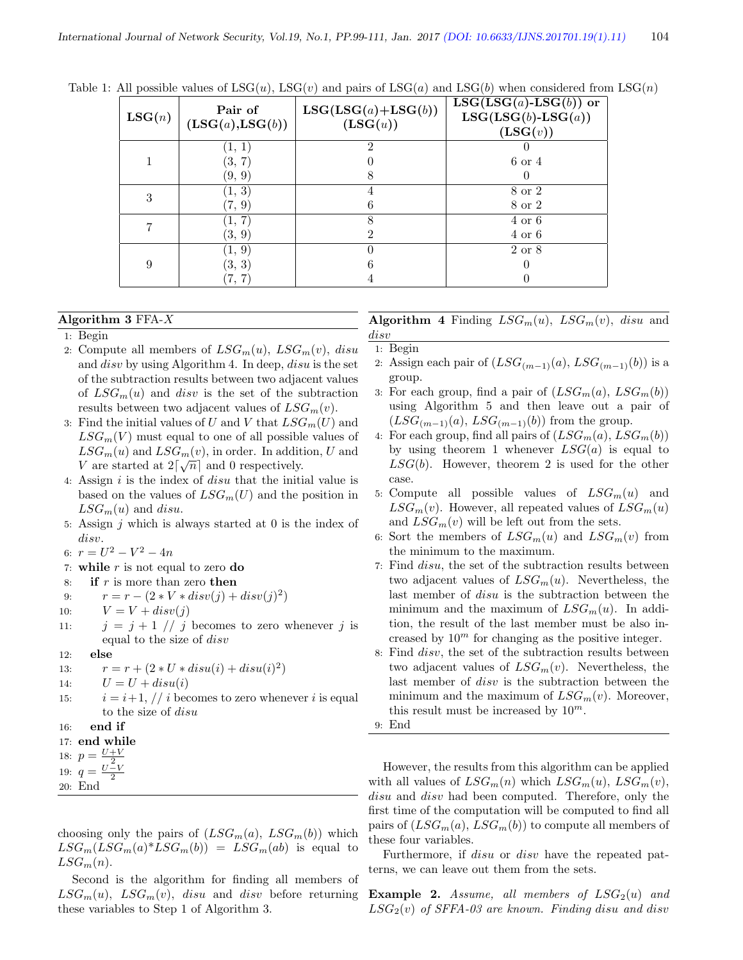| LSG(n) | Pair of<br>$(\text{LSG}(a),\text{LSG}(b))$ | $LSG(LSG(a)+LSG(b))$<br>(LSG(u)) | $\overline{\text{LSG}(\text{LSG}(a)}$ -LSG $(b)$ ) or<br>$LSG(LSG(b)-LSG(a))$<br>(LSG(v)) |
|--------|--------------------------------------------|----------------------------------|-------------------------------------------------------------------------------------------|
|        | [1, 1]<br>(3, 7)<br>(9, 9)                 | 2                                | 6 or 4                                                                                    |
| 3      | (1, 3)<br>(7, 9)                           | 6                                | 8 or 2<br>8 or 2                                                                          |
|        | (1, 7)<br>(3, 9)                           | 2                                | $4 \text{ or } 6$<br>$4$ or $6\,$                                                         |
| 9      | (1, 9)<br>(3, 3)                           |                                  | 2 or 8                                                                                    |

Table 1: All possible values of  $LSG(u)$ ,  $LSG(v)$  and pairs of  $LSG(a)$  and  $LSG(b)$  when considered from  $LSG(n)$ 

#### Algorithm 3 FFA-X

#### 1: Begin

- 2: Compute all members of  $LSG_m(u)$ ,  $LSG_m(v)$ , disu and disv by using Algorithm 4. In deep, disu is the set of the subtraction results between two adjacent values of  $LSG_m(u)$  and disv is the set of the subtraction results between two adjacent values of  $LSG<sub>m</sub>(v)$ .
- 3: Find the initial values of U and V that  $LSG_m(U)$  and  $LSG<sub>m</sub>(V)$  must equal to one of all possible values of  $LSG_m(u)$  and  $LSG_m(v)$ , in order. In addition, U and V are started at  $2\lceil\sqrt{n}\rceil$  and 0 respectively.
- 4: Assign  $i$  is the index of  $disu$  that the initial value is based on the values of  $LSG_m(U)$  and the position in  $LSG_m(u)$  and disu.
- 5: Assign  $j$  which is always started at 0 is the index of disv.
- 6:  $r = U^2 V^2 4n$
- 7: while  $r$  is not equal to zero do
- 8: if  $r$  is more than zero then
- 9:  $r = r (2 * V * disv(j) + disv(j)^2)$
- 10:  $V = V + disv(j)$
- 11:  $j = j + 1 \text{ // } j$  becomes to zero whenever j is equal to the size of disv

12: else

- 13:  $r = r + (2 * U * disu(i) + disu(i)^2)$
- 14:  $U = U + disu(i)$
- 15:  $i = i+1, // i$  becomes to zero whenever i is equal to the size of disu
- 16: end if

```
17: end while
```

```
18: p = \frac{U+V}{2}
```
- 19:  $q = \frac{U V}{2}$
- 20: End

choosing only the pairs of  $(LSG_m(a), LSG_m(b))$  which  $LSG_m(LSG_m(a)^*LSG_m(b)) = LSG_m(ab)$  is equal to  $LSG_m(n).$ 

Second is the algorithm for finding all members of  $LSG_m(u)$ ,  $LSG_m(v)$ , disu and disv before returning these variables to Step 1 of Algorithm 3.

**Algorithm 4** Finding  $LSG_m(u)$ ,  $LSG_m(v)$ , disu and disv

1: Begin

- 2: Assign each pair of  $(LSG_{(m-1)}(a), LSG_{(m-1)}(b))$  is a group.
- 3: For each group, find a pair of  $(LSG_m(a), LSG_m(b))$ using Algorithm 5 and then leave out a pair of  $(LSG_{(m-1)}(a), LSG_{(m-1)}(b))$  from the group.
- 4: For each group, find all pairs of  $(LSG_m(a), LSG_m(b))$ by using theorem 1 whenever  $LSG(a)$  is equal to  $LSG(b)$ . However, theorem 2 is used for the other case.
- 5: Compute all possible values of  $LSG_m(u)$  and  $LSG_m(v)$ . However, all repeated values of  $LSG_m(u)$ and  $LSG_m(v)$  will be left out from the sets.
- 6: Sort the members of  $LSG_m(u)$  and  $LSG_m(v)$  from the minimum to the maximum.
- 7: Find disu, the set of the subtraction results between two adjacent values of  $LSG_m(u)$ . Nevertheless, the last member of disu is the subtraction between the minimum and the maximum of  $LSG_m(u)$ . In addition, the result of the last member must be also increased by  $10<sup>m</sup>$  for changing as the positive integer.
- 8: Find disv, the set of the subtraction results between two adjacent values of  $LSG_m(v)$ . Nevertheless, the last member of disv is the subtraction between the minimum and the maximum of  $LSG_m(v)$ . Moreover, this result must be increased by  $10^m$ .
- 9: End

However, the results from this algorithm can be applied with all values of  $LSG_m(n)$  which  $LSG_m(u)$ ,  $LSG_m(v)$ , disu and disv had been computed. Therefore, only the first time of the computation will be computed to find all pairs of  $(LSG_m(a), LSG_m(b))$  to compute all members of these four variables.

Furthermore, if disu or disv have the repeated patterns, we can leave out them from the sets.

Example 2. Assume, all members of  $LSG_2(u)$  and  $LSG<sub>2</sub>(v)$  of SFFA-03 are known. Finding disu and disv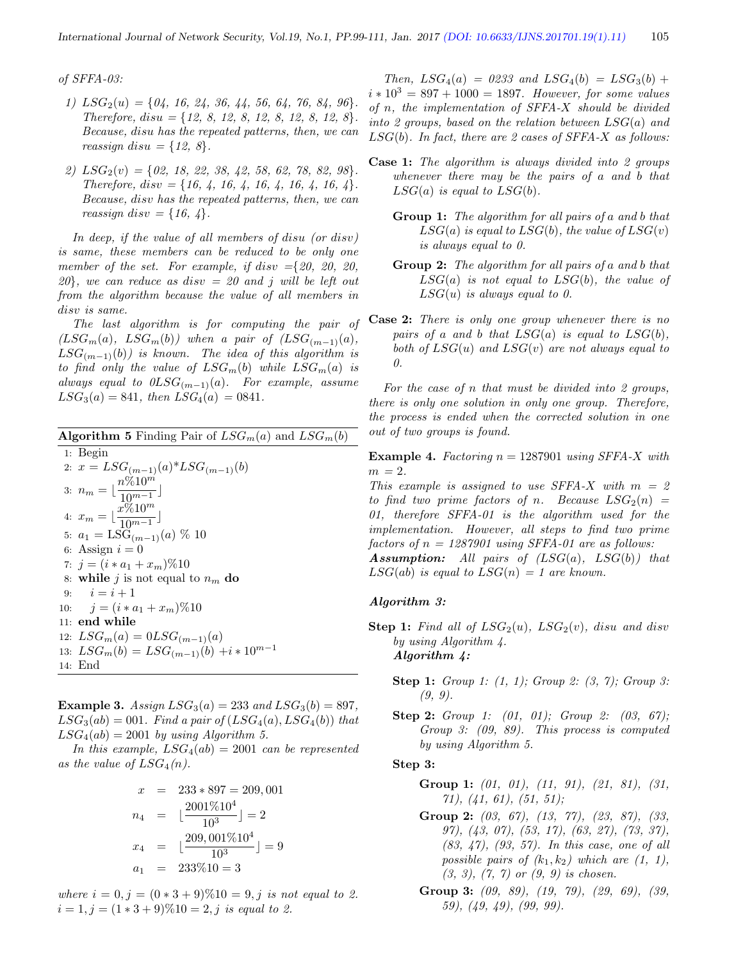of SFFA-03:

- 1)  $LSG_2(u) = \{04, 16, 24, 36, 44, 56, 64, 76, 84, 96\}.$ Therefore,  $disu = \{12, 8, 12, 8, 12, 8, 12, 8, 12, 8\}.$ Because, disu has the repeated patterns, then, we can reassign disu =  $\{12, 8\}.$
- 2)  $LSG_2(v) = \{02, 18, 22, 38, 42, 58, 62, 78, 82, 98\}.$ Therefore,  $disc = \{16, 4, 16, 4, 16, 4, 16, 4, 16, 4\}.$ Because, disv has the repeated patterns, then, we can reassign disv =  $\{16, 4\}.$

In deep, if the value of all members of disu (or disv) is same, these members can be reduced to be only one member of the set. For example, if disv ={20, 20, 20,  $20$ , we can reduce as disv = 20 and j will be left out from the algorithm because the value of all members in disv is same.

The last algorithm is for computing the pair of  $(LSG_m(a), \ LSG_m(b))$  when a pair of  $(LSG_{(m-1)}(a),$  $LSG_{(m-1)}(b)$  is known. The idea of this algorithm is to find only the value of  $LSG_m(b)$  while  $LSG_m(a)$  is always equal to  $0LSG_{(m-1)}(a)$ . For example, assume  $LSG_3(a) = 841$ , then  $LSG_4(a) = 0841$ .

**Algorithm 5** Finding Pair of  $LSG_m(a)$  and  $LSG_m(b)$ 1: Begin 2:  $x = LSG_{(m-1)}(a) * LSG_{(m-1)}(b)$ 3:  $n_m = \lfloor \frac{n \% 10^{m}}{10^{m}} \rfloor$  $\frac{10^{m-1}}{10^{m-1}}$ 4:  $x_m = \lfloor \frac{x \cdot \widetilde{\phi}_0 10^m}{10^{m-1}} \rfloor$  $\frac{10^{m-1}}{10^{m-1}}$ 5:  $a_1 = \text{LSG}_{(m-1)}(a) \; \% \; 10$ 6: Assign  $i = 0$ 7:  $j = (i * a_1 + x_m) \% 10$ 8: while j is not equal to  $n_m$  do 9:  $i = i + 1$ 10:  $j = (i * a_1 + x_m) \% 10$ 11: end while 12:  $LSG_m(a) = 0LSG_{(m-1)}(a)$ 13:  $LSG_m(b) = LSG_{(m-1)}(b) + i * 10^{m-1}$ 14: End

**Example 3.** Assign  $LSG_3(a) = 233$  and  $LSG_3(b) = 897$ ,  $LSG_3(ab) = 001$ . Find a pair of  $(LSG_4(a), LSG_4(b))$  that  $LSG_4(ab) = 2001$  by using Algorithm 5.

In this example,  $LSG_4(ab) = 2001$  can be represented as the value of  $LSG_4(n)$ .

$$
x = 233 * 897 = 209,001
$$
  
\n
$$
n_4 = \lfloor \frac{2001\%10^4}{10^3} \rfloor = 2
$$
  
\n
$$
x_4 = \lfloor \frac{209,001\%10^4}{10^3} \rfloor = 9
$$
  
\n
$$
a_1 = 233\%10 = 3
$$

where  $i = 0, j = (0 * 3 + 9) \% 10 = 9, j$  is not equal to 2.  $i = 1, j = (1 * 3 + 9) \% 10 = 2, j$  is equal to 2.

Then,  $LSG_4(a) = 0.233$  and  $LSG_4(b) = LSG_3(b) +$  $i * 10^3 = 897 + 1000 = 1897$ . However, for some values of n, the implementation of SFFA-X should be divided into 2 groups, based on the relation between  $LSG(a)$  and  $LSG(b)$ . In fact, there are 2 cases of SFFA-X as follows:

- Case 1: The algorithm is always divided into 2 groups whenever there may be the pairs of a and b that  $LSG(a)$  is equal to  $LSG(b)$ .
	- Group 1: The algorithm for all pairs of a and b that  $LSG(a)$  is equal to  $LSG(b)$ , the value of  $LSG(v)$ is always equal to 0.
	- Group 2: The algorithm for all pairs of a and b that  $LSG(a)$  is not equal to  $LSG(b)$ , the value of  $LSG(u)$  is always equal to 0.
- Case 2: There is only one group whenever there is no pairs of a and b that  $LSG(a)$  is equal to  $LSG(b)$ , both of  $LSG(u)$  and  $LSG(v)$  are not always equal to 0.

For the case of  $n$  that must be divided into 2 groups, there is only one solution in only one group. Therefore, the process is ended when the corrected solution in one out of two groups is found.

**Example 4.** Factoring  $n = 1287901$  using SFFA-X with  $m = 2$ .

This example is assigned to use SFFA-X with  $m = 2$ to find two prime factors of n. Because  $LSG_2(n) =$ 01, therefore SFFA-01 is the algorithm used for the implementation. However, all steps to find two prime factors of  $n = 1287901$  using SFFA-01 are as follows:

**Assumption:** All pairs of  $(LSG(a), LSG(b))$  that  $LSG(ab)$  is equal to  $LSG(n) = 1$  are known.

#### Algorithm 3:

- **Step 1:** Find all of  $LSG_2(u)$ ,  $LSG_2(v)$ , disu and disv by using Algorithm 4. Algorithm 4:
	- **Step 1:** Group 1: (1, 1); Group 2: (3, 7); Group 3: (9, 9).
	- Step 2: Group 1: (01, 01); Group 2: (03, 67); Group 3: (09, 89). This process is computed by using Algorithm 5.

#### Step 3:

- Group 1:  $(01, 01)$ ,  $(11, 91)$ ,  $(21, 81)$ ,  $(31, 81)$  $(71), (41, 61), (51, 51);$
- Group 2: (03, 67), (13, 77), (23, 87), (33, 97), (43, 07), (53, 17), (63, 27), (73, 37), (83, 47), (93, 57). In this case, one of all possible pairs of  $(k_1, k_2)$  which are  $(1, 1)$ ,  $(3, 3), (7, 7)$  or  $(9, 9)$  is chosen.
- Group 3: (09, 89), (19, 79), (29, 69), (39, 59), (49, 49), (99, 99).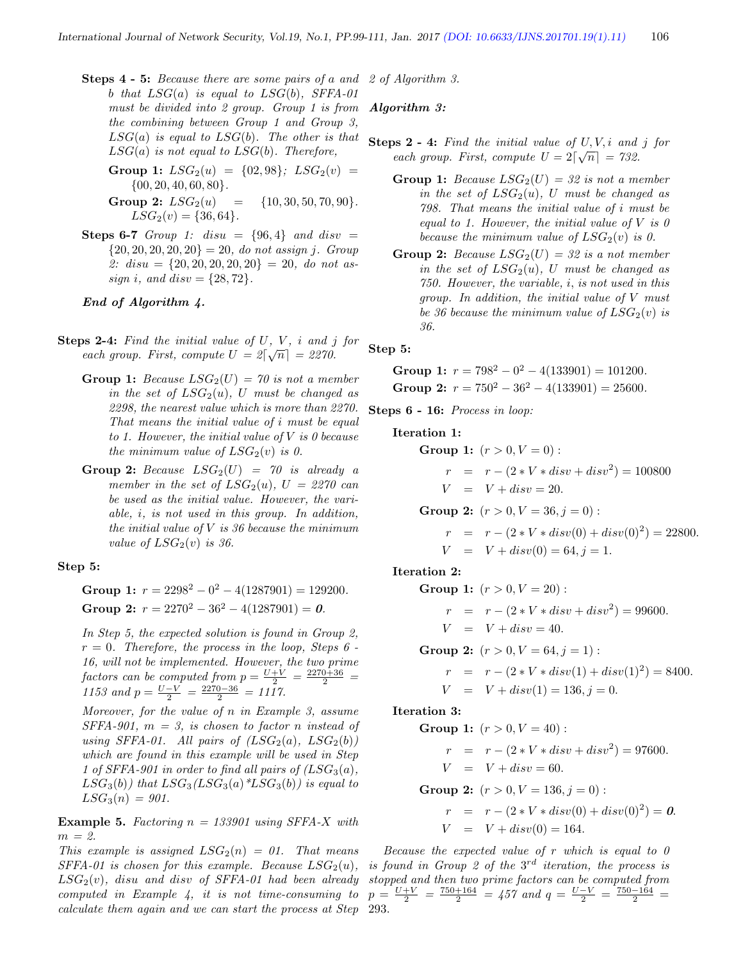- Steps 4 5: Because there are some pairs of a and 2 of Algorithm 3. b that  $LSG(a)$  is equal to  $LSG(b)$ , SFFA-01 must be divided into 2 group. Group 1 is from **Algorithm 3:** the combining between Group 1 and Group 3,  $LSG(a)$  is equal to  $LSG(b)$ . The other is that  $LSG(a)$  is not equal to  $LSG(b)$ . Therefore,
	- Group 1:  $LSG_2(u) = \{02, 98\}$ ;  $LSG_2(v) =$  $\{00, 20, 40, 60, 80\}.$
	- Group 2:  $LSG_2(u) = \{10, 30, 50, 70, 90\}.$  $LSG_2(v) = \{36, 64\}.$
- Steps 6-7 Group 1: disu =  $\{96, 4\}$  and disv =  $\{20, 20, 20, 20, 20\} = 20$ , do not assign j. Group 2:  $disu = \{20, 20, 20, 20, 20\} = 20$ , do not assign *i*, and  $disv = \{28, 72\}.$

End of Algorithm 4.

- **Steps 2-4:** Find the initial value of U, V, i and j for each group. First, compute  $U = 2[\sqrt{n}] = 2270$ .
	- Group 1: Because  $LSG_2(U) = 70$  is not a member in the set of  $LSG_2(u)$ , U must be changed as 2298, the nearest value which is more than 2270. That means the initial value of i must be equal to 1. However, the initial value of  $V$  is 0 because the minimum value of  $LSG_2(v)$  is 0.
	- Group 2: Because  $LSG_2(U) = 70$  is already a member in the set of  $LSG_2(u)$ ,  $U = 2270$  can be used as the initial value. However, the variable, i, is not used in this group. In addition, the initial value of  $V$  is 36 because the minimum value of  $LSG_2(v)$  is 36.

Step 5:

Group 1:  $r = 2298^2 - 0^2 - 4(1287901) = 129200$ . Group 2:  $r = 2270^2 - 36^2 - 4(1287901) = 0$ .

In Step 5, the expected solution is found in Group 2,  $r = 0$ . Therefore, the process in the loop, Steps 6 -16, will not be implemented. However, the two prime factors can be computed from  $p = \frac{U+V}{2} = \frac{2270+36}{2}$ 1153 and  $p = \frac{U-V}{2} = \frac{2270-36}{2} = 1117$ .

Moreover, for the value of n in Example 3, assume  $SFFA-901$ ,  $m = 3$ , is chosen to factor n instead of using SFFA-01. All pairs of  $(LSG_2(a), LSG_2(b))$ which are found in this example will be used in Step 1 of SFFA-901 in order to find all pairs of  $(LSG_3(a),$  $LSG_3(b)$ ) that  $LSG_3(LSG_3(a) * LSG_3(b))$  is equal to  $LSG_3(n) = 901.$ 

**Example 5.** Factoring  $n = 133901$  using SFFA-X with  $m = 2$ .

This example is assigned  $LSG_2(n) = 01$ . That means  $SFFA-01$  is chosen for this example. Because  $LSG_2(u)$ ,  $LSG<sub>2</sub>(v)$ , disu and disv of SFFA-01 had been already computed in Example 4, it is not time-consuming to calculate them again and we can start the process at Step 293.

- **Steps 2 4:** Find the initial value of  $U, V, i$  and j for each group. First, compute  $U = 2\lceil \sqrt{n} \rceil = 732$ .
	- Group 1: Because  $LSG_2(U) = 32$  is not a member in the set of  $LSG_2(u)$ , U must be changed as 798. That means the initial value of i must be equal to 1. However, the initial value of  $V$  is  $\theta$ because the minimum value of  $LSG_2(v)$  is 0.
	- Group 2: Because  $LSG_2(U) = 32$  is a not member in the set of  $LSG_2(u)$ , U must be changed as 750. However, the variable, i, is not used in this group. In addition, the initial value of V must be 36 because the minimum value of  $LSG_2(v)$  is 36.

Step 5:

Group 1: 
$$
r = 798^2 - 0^2 - 4(133901) = 101200
$$
.  
Group 2:  $r = 750^2 - 36^2 - 4(133901) = 25600$ .

Steps 6 - 16: Process in loop:

Iteration 1:

**Group 1:** 
$$
(r > 0, V = 0)
$$
:  
\n $r = r - (2 * V * disv + disv2) = 100800$   
\n $V = V + disv = 20.$   
\n**Group 2:**  $(r > 0, V = 36, j = 0)$ :  
\n $r = r - (2 * V * disv(0) + disv(0)2) = 22800.$   
\n $V = V + disv(0) = 64, j = 1.$ 

Iteration 2:

Group 1: 
$$
(r > 0, V = 20)
$$
:  
\n
$$
r = r - (2 * V * disv + disv2) = 99600.
$$
\n
$$
V = V + disv = 40.
$$
\nGroup 2:  $(r > 0, V = 64, j = 1)$ :  
\n
$$
r = r - (2 * V * disv(1) + disv(1)2) = 8400.
$$

$$
V = V + disv(1) = 136, j = 0.
$$

Iteration 3:

**Group 1:** 
$$
(r > 0, V = 40)
$$
:  
\n $r = r - (2 * V * disv + disv2) = 97600.$   
\n $V = V + disv = 60.$   
\n**Group 2:**  $(r > 0, V = 136, j = 0)$ :

$$
r = r - (2 * V * disv(0) + disv(0)2) = 0.
$$
  

$$
V = V + disv(0) = 164.
$$

Because the expected value of  $r$  which is equal to  $\theta$ is found in Group 2 of the  $3^{rd}$  iteration, the process is stopped and then two prime factors can be computed from  $p = \frac{U+V}{2} = \frac{750+164}{2} = 457$  and  $q = \frac{U-V}{2} = \frac{750-164}{2} =$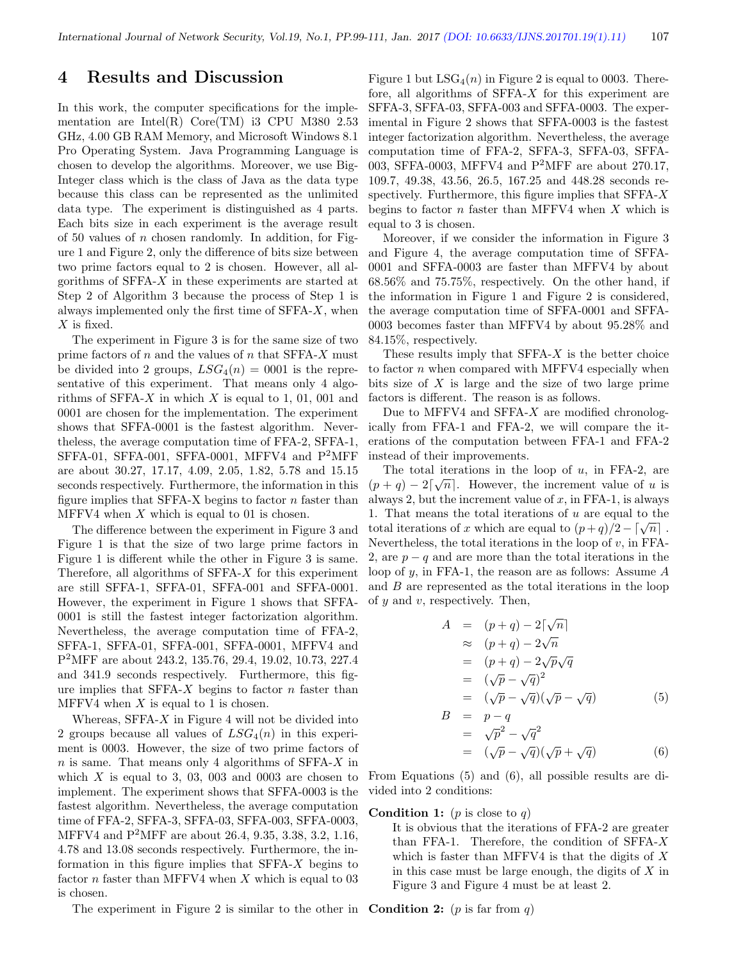### 4 Results and Discussion

In this work, the computer specifications for the implementation are Intel $(R)$  Core $(TM)$  i3 CPU M380 2.53 GHz, 4.00 GB RAM Memory, and Microsoft Windows 8.1 Pro Operating System. Java Programming Language is chosen to develop the algorithms. Moreover, we use Big-Integer class which is the class of Java as the data type because this class can be represented as the unlimited data type. The experiment is distinguished as 4 parts. Each bits size in each experiment is the average result of 50 values of  $n$  chosen randomly. In addition, for Figure 1 and Figure 2, only the difference of bits size between two prime factors equal to 2 is chosen. However, all algorithms of SFFA-X in these experiments are started at Step 2 of Algorithm 3 because the process of Step 1 is always implemented only the first time of SFFA-X, when  $X$  is fixed.

The experiment in Figure 3 is for the same size of two prime factors of  $n$  and the values of  $n$  that SFFA-X must be divided into 2 groups,  $LSG_4(n) = 0001$  is the representative of this experiment. That means only 4 algorithms of SFFA- $X$  in which  $X$  is equal to 1, 01, 001 and 0001 are chosen for the implementation. The experiment shows that SFFA-0001 is the fastest algorithm. Nevertheless, the average computation time of FFA-2, SFFA-1, SFFA-01, SFFA-001, SFFA-0001, MFFV4 and P2MFF are about 30.27, 17.17, 4.09, 2.05, 1.82, 5.78 and 15.15 seconds respectively. Furthermore, the information in this figure implies that SFFA-X begins to factor  $n$  faster than MFFV4 when  $X$  which is equal to 01 is chosen.

The difference between the experiment in Figure 3 and Figure 1 is that the size of two large prime factors in Figure 1 is different while the other in Figure 3 is same. Therefore, all algorithms of  $SFFA-X$  for this experiment are still SFFA-1, SFFA-01, SFFA-001 and SFFA-0001. However, the experiment in Figure 1 shows that SFFA-0001 is still the fastest integer factorization algorithm. Nevertheless, the average computation time of FFA-2, SFFA-1, SFFA-01, SFFA-001, SFFA-0001, MFFV4 and P <sup>2</sup>MFF are about 243.2, 135.76, 29.4, 19.02, 10.73, 227.4 and 341.9 seconds respectively. Furthermore, this figure implies that  $SFFA-X$  begins to factor n faster than MFFV4 when  $X$  is equal to 1 is chosen.

Whereas,  $SFFA-X$  in Figure 4 will not be divided into 2 groups because all values of  $LSG_4(n)$  in this experiment is 0003. However, the size of two prime factors of  $n$  is same. That means only 4 algorithms of SFFA- $X$  in which  $X$  is equal to 3, 03, 003 and 0003 are chosen to implement. The experiment shows that SFFA-0003 is the fastest algorithm. Nevertheless, the average computation time of FFA-2, SFFA-3, SFFA-03, SFFA-003, SFFA-0003, MFFV4 and P<sup>2</sup>MFF are about 26.4, 9.35, 3.38, 3.2, 1.16, 4.78 and 13.08 seconds respectively. Furthermore, the information in this figure implies that SFFA-X begins to factor  $n$  faster than MFFV4 when  $X$  which is equal to 03 is chosen.

The experiment in Figure 2 is similar to the other in **Condition 2:** (*p* is far from q)

Figure 1 but  $LSG_4(n)$  in Figure 2 is equal to 0003. Therefore, all algorithms of SFFA-X for this experiment are SFFA-3, SFFA-03, SFFA-003 and SFFA-0003. The experimental in Figure 2 shows that SFFA-0003 is the fastest integer factorization algorithm. Nevertheless, the average computation time of FFA-2, SFFA-3, SFFA-03, SFFA-003, SFFA-0003, MFFV4 and  $P^2MFF$  are about 270.17, 109.7, 49.38, 43.56, 26.5, 167.25 and 448.28 seconds respectively. Furthermore, this figure implies that  $SFFA-X$ begins to factor  $n$  faster than MFFV4 when  $X$  which is equal to 3 is chosen.

Moreover, if we consider the information in Figure 3 and Figure 4, the average computation time of SFFA-0001 and SFFA-0003 are faster than MFFV4 by about 68.56% and 75.75%, respectively. On the other hand, if the information in Figure 1 and Figure 2 is considered, the average computation time of SFFA-0001 and SFFA-0003 becomes faster than MFFV4 by about 95.28% and 84.15%, respectively.

These results imply that  $SFFA-X$  is the better choice to factor  $n$  when compared with MFFV4 especially when bits size of X is large and the size of two large prime factors is different. The reason is as follows.

Due to MFFV4 and SFFA- $X$  are modified chronologically from FFA-1 and FFA-2, we will compare the iterations of the computation between FFA-1 and FFA-2 instead of their improvements.

The total iterations in the loop of  $u$ , in FFA-2, are  $(p+q) - 2\lceil \sqrt{n} \rceil$ . However, the increment value of u is always 2, but the increment value of  $x$ , in FFA-1, is always 1. That means the total iterations of u are equal to the 1. That means the total iterations of x which are equal to  $(p+q)/2 - \lceil \sqrt{n} \rceil$ . Nevertheless, the total iterations in the loop of  $v$ , in FFA-2, are  $p - q$  and are more than the total iterations in the loop of y, in FFA-1, the reason are as follows: Assume A and  $B$  are represented as the total iterations in the loop of  $y$  and  $v$ , respectively. Then,

$$
A = (p+q) - 2\lceil \sqrt{n} \rceil
$$
  
\n
$$
\approx (p+q) - 2\sqrt{n}
$$
  
\n
$$
= (p+q) - 2\sqrt{p}\sqrt{q}
$$
  
\n
$$
= (\sqrt{p} - \sqrt{q})^2
$$
  
\n
$$
B = p-q
$$
  
\n
$$
= \sqrt{p^2} - \sqrt{q^2}
$$
  
\n
$$
= (\sqrt{p} - \sqrt{q})(\sqrt{p} + \sqrt{q})
$$
  
\n(6)

From Equations (5) and (6), all possible results are divided into 2 conditions:

#### **Condition 1:**  $(p \text{ is close to } q)$

It is obvious that the iterations of FFA-2 are greater than FFA-1. Therefore, the condition of  $SFFA-X$ which is faster than MFFV4 is that the digits of  $X$ in this case must be large enough, the digits of  $X$  in Figure 3 and Figure 4 must be at least 2.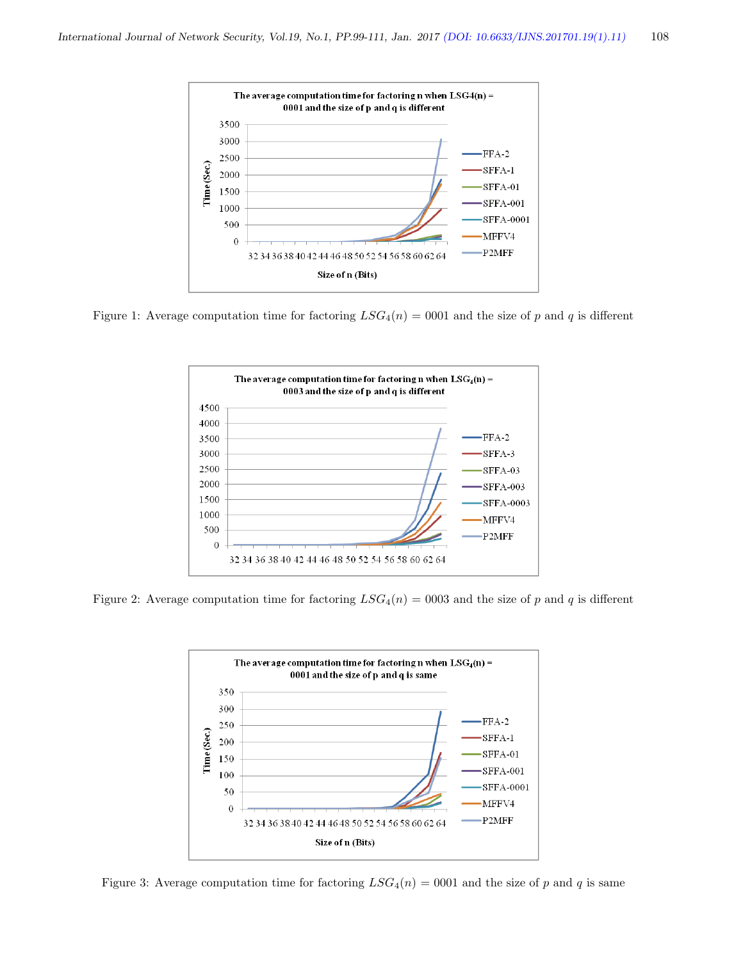

Figure 1: Average computation time for factoring  $LSG_4(n) = 0001$  and the size of p and q is different



Figure 2: Average computation time for factoring  $LSG_4(n) = 0003$  and the size of p and q is different



Figure 3: Average computation time for factoring  $LSG_4(n) = 0001$  and the size of p and q is same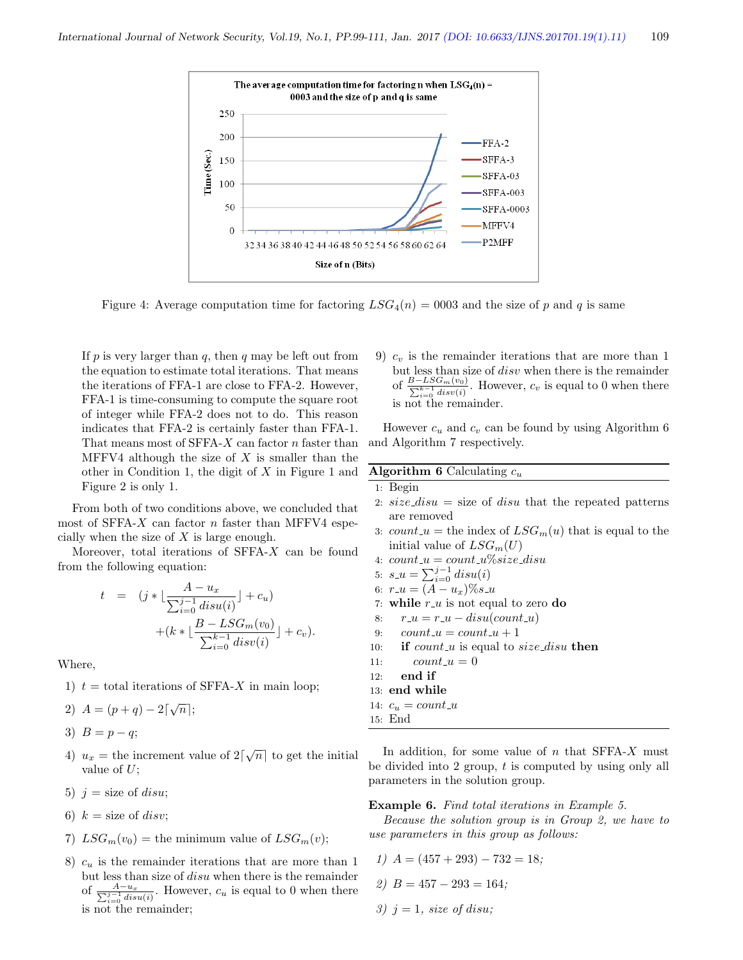

Figure 4: Average computation time for factoring  $LSG_4(n) = 0003$  and the size of p and q is same

If  $p$  is very larger than  $q$ , then  $q$  may be left out from the equation to estimate total iterations. That means the iterations of FFA-1 are close to FFA-2. However, FFA-1 is time-consuming to compute the square root of integer while FFA-2 does not to do. This reason indicates that FFA-2 is certainly faster than FFA-1. That means most of SFFA-X can factor n faster than MFFV4 although the size of  $X$  is smaller than the other in Condition 1, the digit of  $X$  in Figure 1 and Figure 2 is only 1.

From both of two conditions above, we concluded that most of SFFA- $X$  can factor  $n$  faster than MFFV4 especially when the size of X is large enough.

Moreover, total iterations of  $SFFA-X$  can be found from the following equation:

$$
t = (j * \lfloor \frac{A - u_x}{\sum_{i=0}^{j-1} disu(i)} \rfloor + c_u) + (k * \lfloor \frac{B - LSG_m(v_0)}{\sum_{i=0}^{k-1} disv(i)} \rfloor + c_v).
$$

Where,

- 1)  $t =$  total iterations of SFFA-X in main loop;
- 2)  $A = (p+q) 2[\sqrt{n}];$

3)  $B = p - q$ ;

- 4)  $u_x$  = the increment value of  $2\lceil \sqrt{n} \rceil$  to get the initial value of  $U$ :
- 5)  $j = size of$  disu;
- 6)  $k = size$  of *disv*;
- 7)  $LSG_m(v_0)$  = the minimum value of  $LSG_m(v)$ ;
- 8)  $c_u$  is the remainder iterations that are more than 1 but less than size of disu when there is the remainder of  $\frac{A-u_x}{\sum_{i=0}^{j-1} dist(u_i)}$ . However,  $c_u$  is equal to 0 when there is not the remainder;

9)  $c_v$  is the remainder iterations that are more than 1 but less than size of disv when there is the remainder of  $\frac{B-LSG_m(v_0)}{\sum_{i=0}^{k-1} disv(i)}$ . However,  $c_v$  is equal to 0 when there is not the remainder.

However  $c_u$  and  $c_v$  can be found by using Algorithm 6 and Algorithm 7 respectively.

#### Algorithm 6 Calculating  $c_u$

#### 1: Begin

- 2:  $size\_disu = size$  of disu that the repeated patterns are removed
- 3: count  $u =$  the index of  $LSG_m(u)$  that is equal to the initial value of  $LSG_m(U)$
- 4:  $count\_u = count\_u\% size\_disu$
- 5:  $s_{-}u = \sum_{i=0}^{j-1} disu(i)$
- 6:  $r_{-}u = (A u_x)\%s_{-}u$
- 7: while  $r_{\text{-}u}$  is not equal to zero do
- 8:  $r_{-}u = r_{-}u disu(count_{-}u)$
- 9:  $count_u = count_u + 1$
- 10: if *count\_u* is equal to  $size\_disu$  then
- 11:  $count\_u = 0$
- 12: end if

```
13: end while
```

```
14: c_u = count\_u
```

```
15: End
```
In addition, for some value of  $n$  that SFFA- $X$  must be divided into 2 group,  $t$  is computed by using only all parameters in the solution group.

#### Example 6. Find total iterations in Example 5.

Because the solution group is in Group 2, we have to use parameters in this group as follows:

- 1)  $A = (457 + 293) 732 = 18$ ;
- 2)  $B = 457 293 = 164$ ;
- 3)  $j = 1$ , size of disu;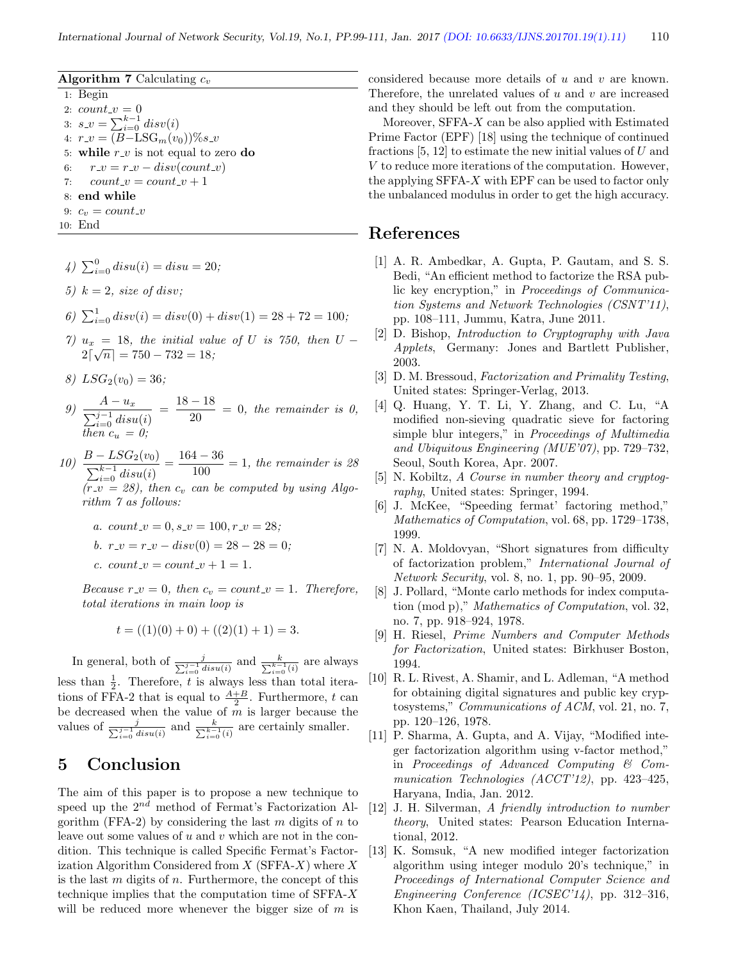#### Algorithm 7 Calculating  $c_v$

1: Begin 2:  $count_{\mathcal{N}} = 0$ 3:  $s_{-}v = \sum_{i=0}^{k-1} disv(i)$ 4:  $r_{\perp}v = (B-\text{LSG}_{m}(v_{0}))\%s_{\perp}v$ 5: while  $r_{\perp}v$  is not equal to zero do 6:  $r_{-}v = r_{-}v - disv(count_{-}v)$ 7:  $count\_v = count\_v + 1$ 8: end while 9:  $c_v = count_v$ 10: End

4)  $\sum_{i=0}^{0} disu(i) = disu = 20;$ 

5)  $k = 2$ , size of disv;

- 6)  $\sum_{i=0}^{1} disv(i) = disv(0) + disv(1) = 28 + 72 = 100;$
- 7)  $u_x = 18$ , the initial value of U is 750, then  $U 2\lceil \sqrt{n} \rceil = 750 - 732 = 18;$
- 8)  $LSG_2(v_0) = 36;$
- 9)  $\frac{A u_x}{\sum_{i=0}^{j-1} disu(i)}$  $=\frac{18-18}{80}$  $\frac{12}{20}$  = 0, the remainder is 0, then  $c_u = 0$ ;
- 10)  $\frac{B LSG_2(v_0)}{P}$  $\sum_{i=0}^{k-1}$  disu(i)  $=\frac{164-36}{100}$  $\frac{1}{100}$  = 1, the remainder is 28  $(r_{\textit{-}}v = 28)$ , then  $c_v$  can be computed by using Algorithm 7 as follows:
	- a.  $count_{-}v = 0$ ,  $s_{-}v = 100$ ,  $r_{-}v = 28$ ;
	- b.  $r_{-}v = r_{-}v disv(0) = 28 28 = 0;$
	- c. count  $v = count_v + 1 = 1$ .

Because  $r_{-}v = 0$ , then  $c_v = count_{-}v = 1$ . Therefore, total iterations in main loop is

$$
t = ((1)(0) + 0) + ((2)(1) + 1) = 3.
$$

In general, both of  $\frac{j}{\sum_{i=0}^{j-1} disu(i)}$  and  $\frac{k}{\sum_{i=0}^{k-1}(i)}$  are always less than  $\frac{1}{2}$ . Therefore, t is always less than total iterations of FFA-2 that is equal to  $\frac{A+B}{2}$ . Furthermore, t can be decreased when the value of  $m$  is larger because the values of  $\frac{j}{\sum_{i=0}^{j-1} disu(i)}$  and  $\frac{k}{\sum_{i=0}^{k-1}(i)}$  are certainly smaller.

### 5 Conclusion

The aim of this paper is to propose a new technique to speed up the  $2^{nd}$  method of Fermat's Factorization Algorithm (FFA-2) by considering the last m digits of n to leave out some values of u and v which are not in the condition. This technique is called Specific Fermat's Factorization Algorithm Considered from  $X$  (SFFA- $X$ ) where  $X$ is the last  $m$  digits of  $n$ . Furthermore, the concept of this technique implies that the computation time of  $SFFA-X$ will be reduced more whenever the bigger size of  $m$  is considered because more details of u and v are known. Therefore, the unrelated values of  $u$  and  $v$  are increased and they should be left out from the computation.

Moreover, SFFA- $X$  can be also applied with Estimated Prime Factor (EPF) [18] using the technique of continued fractions  $[5, 12]$  to estimate the new initial values of U and V to reduce more iterations of the computation. However, the applying  $SFFA-X$  with  $EPF$  can be used to factor only the unbalanced modulus in order to get the high accuracy.

### References

- [1] A. R. Ambedkar, A. Gupta, P. Gautam, and S. S. Bedi, "An efficient method to factorize the RSA public key encryption," in Proceedings of Communication Systems and Network Technologies (CSNT'11), pp. 108–111, Jummu, Katra, June 2011.
- [2] D. Bishop, Introduction to Cryptography with Java Applets, Germany: Jones and Bartlett Publisher, 2003.
- [3] D. M. Bressoud, Factorization and Primality Testing, United states: Springer-Verlag, 2013.
- [4] Q. Huang, Y. T. Li, Y. Zhang, and C. Lu, "A modified non-sieving quadratic sieve for factoring simple blur integers," in Proceedings of Multimedia and Ubiquitous Engineering (MUE'07), pp. 729–732, Seoul, South Korea, Apr. 2007.
- [5] N. Kobiltz, A Course in number theory and cryptography, United states: Springer, 1994.
- [6] J. McKee, "Speeding fermat' factoring method," Mathematics of Computation, vol. 68, pp. 1729–1738, 1999.
- [7] N. A. Moldovyan, "Short signatures from difficulty of factorization problem," International Journal of Network Security, vol. 8, no. 1, pp. 90–95, 2009.
- [8] J. Pollard, "Monte carlo methods for index computation (mod p)," Mathematics of Computation, vol. 32, no. 7, pp. 918–924, 1978.
- [9] H. Riesel, Prime Numbers and Computer Methods for Factorization, United states: Birkhuser Boston, 1994.
- [10] R. L. Rivest, A. Shamir, and L. Adleman, "A method for obtaining digital signatures and public key cryptosystems," Communications of ACM, vol. 21, no. 7, pp. 120–126, 1978.
- [11] P. Sharma, A. Gupta, and A. Vijay, "Modified integer factorization algorithm using v-factor method," in Proceedings of Advanced Computing & Communication Technologies (ACCT'12), pp. 423-425, Haryana, India, Jan. 2012.
- [12] J. H. Silverman, A friendly introduction to number theory, United states: Pearson Education International, 2012.
- [13] K. Somsuk, "A new modified integer factorization algorithm using integer modulo 20's technique," in Proceedings of International Computer Science and Engineering Conference (ICSEC'14), pp. 312–316, Khon Kaen, Thailand, July 2014.